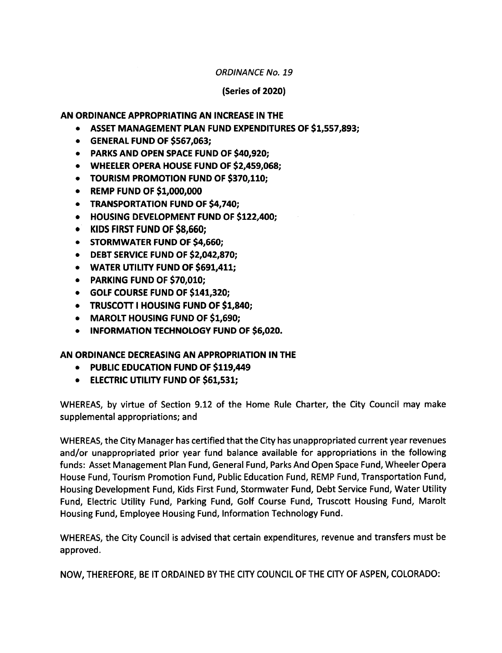## ORDINANCE No. 19

## (Series of 2020)

## AN ORDINANCE APPROPRIATING AN INCREASE IN THE

- ASSET MANAGEMENT PLAN FUND EXPENDITURES OF \$1,557,893;
- **GENERAL FUND OF \$567,063:**
- PARKS AND OPEN SPACE FUND OF \$40,920;
- WHEELER OPERA HOUSE FUND OF \$2,459,068;
- TOURISM PROMOTION FUND OF \$370,110;
- $\bullet$  REMP FUND OF \$1,000,000
- TRANSPORTATION FUND OF \$4,740;
- **HOUSING DEVELOPMENT FUND OF \$122,400;**
- KIDS FIRST FUND OF \$8,660;
- STORMWATER FUND OF \$4,660;
- DEBT SERVICE FUND OF \$2,042,870;
- WATER UTILITY FUND OF \$691,411:
- PARKING FUND OF \$70,010;
- GOLF COURSE FUND OF \$141,320;
- TRUSCOTT I HOUSING FUND OF \$1,840;
- MAROLT HOUSING FUND OF \$1,690:
- **INFORMATION TECHNOLOGY FUND OF \$6,020.**

## AN ORDINANCE DECREASING AN APPROPRIATION IN THE

- PUBLIC EDUCATION FUND OF \$119,449
- **ELECTRIC UTILITY FUND OF \$61,531;**

WHEREAS, by virtue of Section 9.12 of the Home Rule Charter, the City Council may make supplemental appropriations; and

WHEREAS, the City Manager has certified that the City has unappropriated current year revenues and/or unappropriated prior year fund balance available for appropriations in the following funds: Asset Management Plan Fund, General Fund, Parks And Open Space Fund, Wheeler Opera House Fund, Tourism Promotion Fund, Public Education Fund, REMP Fund, Transportation Fund, Housing Development Fund, Kids First Fund, Stormwater Fund, Debt Service Fund, Water Utility Fund, Electric Utility Fund, Parking Fund, Golf Course Fund, Truscott Housing Fund, Marolt Housing Fund, Employee Housing Fund, Information Technology Fund.

WHEREAS, the City Council is advised that certain expenditures, revenue and transfers must be approved.

NOW, THEREFORE, BE IT ORDAINED BY THE CITY COUNCIL OF THE CITY OF ASPEN, COLORADO: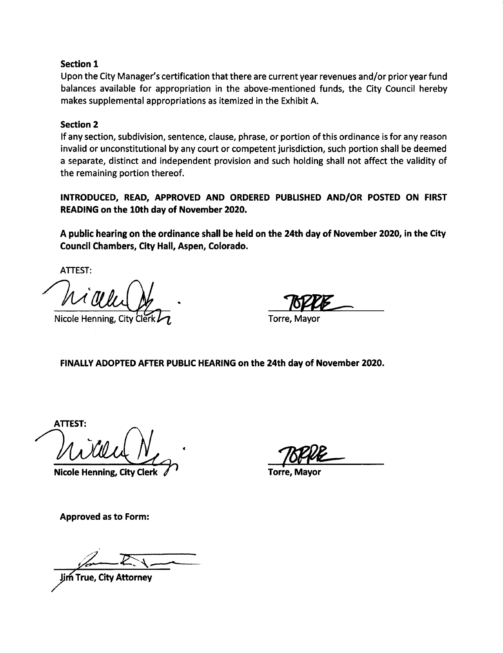## Section 1

Upon the City Manager's certification that there are current year revenues and/or prior year fund balances available for appropriation in the above- mentioned funds, the City Council hereby makes supplemental appropriations as itemized in the Exhibit A.

## Section 2

If any section, subdivision, sentence, clause, phrase, or portion of this ordinance is for any reason invalid or unconstitutional by any court or competent jurisdiction, such portion shall be deemed a separate, distinct and independent provision and such holding shall not affect the validity of the remaining portion thereof.

INTRODUCED, READ, APPROVED AND ORDERED PUBLISHED AND/OR POSTED ON FIRST READING on the 10th day of November 2020.

A public hearing on the ordinance shall be held on the 24th day of November 2020, in the City Council Chambers, City Hall, Aspen, Colorado.

ATTEST:

Nicole Henning, City Cler

Torre, Mayor

FINALLY ADOPTED AFTER PUBLIC HEARING on the 24th day of November 2020.

**ATTEST** 

Nicole Henning, City Clerk

Torre, Mayor

Approved as to Form:

m True, City Attorney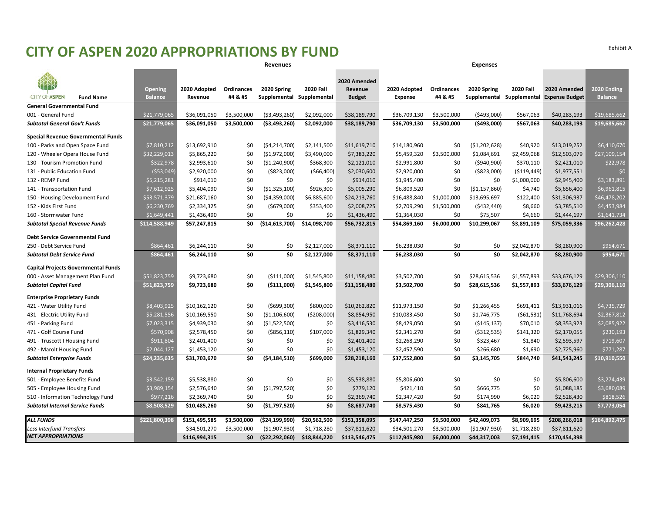## **CITY OF ASPEN 2020 APPROPRIATIONS BY FUND** Exhibit <sup>A</sup>

|                                            |                                  |                         |                              | <b>Revenues</b><br><b>Expenses</b>       |                  |                                          |                                |                       |                                          |                  |                                       |                               |
|--------------------------------------------|----------------------------------|-------------------------|------------------------------|------------------------------------------|------------------|------------------------------------------|--------------------------------|-----------------------|------------------------------------------|------------------|---------------------------------------|-------------------------------|
| <b>CITY OF ASPEN</b><br><b>Fund Name</b>   | <b>Opening</b><br><b>Balance</b> | 2020 Adopted<br>Revenue | <b>Ordinances</b><br>#4 & #5 | 2020 Spring<br>Supplemental Supplemental | <b>2020 Fall</b> | 2020 Amended<br>Revenue<br><b>Budget</b> | 2020 Adopted<br><b>Expense</b> | Ordinances<br>#4 & #5 | 2020 Spring<br>Supplemental Supplemental | <b>2020 Fall</b> | 2020 Amended<br><b>Expense Budget</b> | 2020 Ending<br><b>Balance</b> |
| <b>General Governmental Fund</b>           |                                  |                         |                              |                                          |                  |                                          |                                |                       |                                          |                  |                                       |                               |
| 001 - General Fund                         | \$21,779,065                     | \$36,091,050            | \$3,500,000                  | ( \$3,493,260)                           | \$2,092,000      | \$38,189,790                             | \$36,709,130                   | \$3,500,000           | ( \$493,000]                             | \$567,063        | \$40,283,193                          | \$19,685,662                  |
| <b>Subtotal General Gov't Funds</b>        | \$21,779,065                     | \$36,091,050            | \$3,500,000                  | ( \$3,493,260)                           | \$2,092,000      | \$38,189,790                             | \$36,709,130                   | \$3,500,000           | (\$493,000)                              | \$567,063        | \$40,283,193                          | \$19,685,662                  |
| Special Revenue Governmental Funds         |                                  |                         |                              |                                          |                  |                                          |                                |                       |                                          |                  |                                       |                               |
| 100 - Parks and Open Space Fund            | \$7,810,212                      | \$13,692,910            | \$0                          | ( \$4, 214, 700)                         | \$2,141,500      | \$11,619,710                             | \$14,180,960                   | \$0                   | ( \$1,202,628)                           | \$40,920         | \$13,019,252                          | \$6,410,670                   |
| 120 - Wheeler Opera House Fund             | \$32,229,013                     | \$5,865,220             | \$0                          | ( \$1,972,000)                           | \$3,490,000      | \$7,383,220                              | \$5,459,320                    | \$3,500,000           | \$1,084,691                              | \$2,459,068      | \$12,503,079                          | \$27,109,154                  |
| 130 - Tourism Promotion Fund               | \$322,978                        | \$2,993,610             | \$0                          | ( \$1, 240, 900)                         | \$368,300        | \$2,121,010                              | \$2,991,800                    | \$0                   | ( \$940, 900)                            | \$370,110        | \$2,421,010                           | \$22,978                      |
| 131 - Public Education Fund                | (\$53,049                        | \$2,920,000             | \$0                          | ( \$823,000)                             | ( \$66,400)      | \$2,030,600                              | \$2,920,000                    | \$0                   | ( \$823,000)                             | ( \$119,449)     | \$1,977,551                           | \$0                           |
| 132 - REMP Fund                            | \$5,215,281                      | \$914,010               | \$0                          | \$0                                      | \$0              | \$914,010                                | \$1,945,400                    | \$0                   | \$0                                      | \$1,000,000      | \$2,945,400                           | \$3,183,891                   |
| 141 - Transportation Fund                  | \$7,612,925                      | \$5,404,090             | \$0                          | ( \$1,325,100)                           | \$926,300        | \$5,005,290                              | \$6,809,520                    | \$0                   | ( \$1,157,860)                           | \$4,740          | \$5,656,400                           | \$6,961,815                   |
| 150 - Housing Development Fund             | \$53,571,379                     | \$21,687,160            | \$0                          | (54, 359, 000)                           | \$6,885,600      | \$24,213,760                             | \$16,488,840                   | \$1,000,000           | \$13,695,697                             | \$122,400        | \$31,306,937                          | \$46,478,202                  |
| 152 - Kids First Fund                      | \$6,230,769                      | \$2,334,325             | \$0                          | ( \$679,000)                             | \$353,400        | \$2,008,725                              | \$2,709,290                    | \$1,500,000           | ( \$432, 440)                            | \$8,660          | \$3,785,510                           | \$4,453,984                   |
| 160 - Stormwater Fund                      | \$1,649,441                      | \$1,436,490             | \$0                          | \$0                                      | \$0              | \$1,436,490                              | \$1,364,030                    | \$0                   | \$75,507                                 | \$4,660          | \$1,444,197                           | \$1,641,734                   |
| <b>Subtotal Special Revenue Funds</b>      | \$114,588,949                    | \$57,247,815            | \$0                          | ( \$14,613,700)                          | \$14,098,700     | \$56,732,815                             | \$54,869,160                   | \$6,000,000           | \$10,299,067                             | \$3,891,109      | \$75,059,336                          | \$96,262,428                  |
| <b>Debt Service Governmental Fund</b>      |                                  |                         |                              |                                          |                  |                                          |                                |                       |                                          |                  |                                       |                               |
| 250 - Debt Service Fund                    | \$864,461                        | \$6,244,110             | \$0                          | \$0                                      | \$2,127,000      | \$8,371,110                              | \$6,238,030                    | \$0                   | \$0                                      | \$2,042,870      | \$8,280,900                           | \$954,671                     |
| <b>Subtotal Debt Service Fund</b>          | \$864,461                        | \$6,244,110             | \$0                          | \$0                                      | \$2,127,000      | \$8,371,110                              | \$6,238,030                    | \$0                   | \$0                                      | \$2,042,870      | \$8,280,900                           | \$954,671                     |
| <b>Capital Projects Governmental Funds</b> |                                  |                         |                              |                                          |                  |                                          |                                |                       |                                          |                  |                                       |                               |
| 000 - Asset Management Plan Fund           | \$51,823,759                     | \$9,723,680             | \$0                          | ( \$111,000)                             | \$1,545,800      | \$11,158,480                             | \$3,502,700                    | \$0                   | \$28,615,536                             | \$1,557,893      | \$33,676,129                          | \$29,306,110                  |
| <b>Subtotal Capital Fund</b>               | \$51,823,759                     | \$9,723,680             | \$0                          | (5111,000)                               | \$1,545,800      | \$11,158,480                             | \$3,502,700                    | \$0                   | \$28,615,536                             | \$1,557,893      | \$33,676,129                          | \$29,306,110                  |
| <b>Enterprise Proprietary Funds</b>        |                                  |                         |                              |                                          |                  |                                          |                                |                       |                                          |                  |                                       |                               |
| 421 - Water Utility Fund                   | \$8,403,925                      | \$10,162,120            | \$0                          | ( \$699, 300)                            | \$800,000        | \$10,262,820                             | \$11,973,150                   | \$0                   | \$1,266,455                              | \$691,411        | \$13,931,016                          | \$4,735,729                   |
| 431 - Electric Utility Fund                | \$5,281,556                      | \$10,169,550            | \$0                          | ( \$1,106,600)                           | (5208,000)       | \$8,854,950                              | \$10,083,450                   | \$0                   | \$1,746,775                              | (561, 531)       | \$11,768,694                          | \$2,367,812                   |
| 451 - Parking Fund                         | \$7,023,315                      | \$4,939,030             | \$0                          | ( \$1,522,500)                           | \$0              | \$3,416,530                              | \$8,429,050                    | \$0                   | ( \$145, 137)                            | \$70,010         | \$8,353,923                           | \$2,085,922                   |
| 471 - Golf Course Fund                     | \$570,908                        | \$2,578,450             | \$0                          | $($ \$856,110)                           | \$107,000        | \$1,829,340                              | \$2,341,270                    | \$0                   | ( \$312, 535)                            | \$141,320        | \$2,170,055                           | \$230,193                     |
| 491 - Truscott I Housing Fund              | \$911,804                        | \$2,401,400             | \$0                          | \$0                                      | \$0              | \$2,401,400                              | \$2,268,290                    | \$0                   | \$323,467                                | \$1,840          | \$2,593,597                           | \$719,607                     |
| 492 - Marolt Housing Fund                  | \$2,044,127                      | \$1,453,120             | \$0                          | \$0                                      | \$0              | \$1,453,120                              | \$2,457,590                    | \$0                   | \$266,680                                | \$1,690          | \$2,725,960                           | \$771,287                     |
| <b>Subtotal Enterprise Funds</b>           | \$24,235,635                     | \$31,703,670            | \$0                          | (54, 184, 510)                           | \$699,000        | \$28,218,160                             | \$37,552,800                   | \$0                   | \$3,145,705                              | \$844,740        | \$41,543,245                          | \$10,910,550                  |
| <b>Internal Proprietary Funds</b>          |                                  |                         |                              |                                          |                  |                                          |                                |                       |                                          |                  |                                       |                               |
| 501 - Employee Benefits Fund               | \$3,542,159                      | \$5,538,880             | \$0                          | \$0                                      | \$0              | \$5,538,880                              | \$5,806,600                    | \$0                   | \$0                                      | \$0              | \$5,806,600                           | \$3,274,439                   |
| 505 - Employee Housing Fund                | \$3,989,154                      | \$2,576,640             | \$0                          | ( \$1,797,520)                           | \$0              | \$779,120                                | \$421,410                      | \$0                   | \$666,775                                | \$0              | \$1,088,185                           | \$3,680,089                   |
| 510 - Information Technology Fund          | \$977,216                        | \$2,369,740             | \$0                          | \$0                                      | \$0              | \$2,369,740                              | \$2,347,420                    | \$0                   | \$174,990                                | \$6,020          | \$2,528,430                           | \$818,526                     |
| <b>Subtotal Internal Service Funds</b>     | \$8,508,529                      | \$10,485,260            | \$0                          | ( \$1,797,520)                           | \$0              | \$8,687,740                              | \$8,575,430                    | \$0                   | \$841,765                                | \$6,020          | \$9,423,215                           | \$7,773,054                   |
| <b>ALL FUNDS</b>                           | \$221,800,398                    | \$151,495,585           | \$3,500,000                  | (\$24,199,990)                           | \$20,562,500     | \$151,358,095                            | \$147,447,250                  | \$9,500,000           | \$42,409,073                             | \$8,909,695      | \$208,266,018                         | \$164,892,475                 |
| <b>Less Interfund Transfers</b>            |                                  | \$34,501,270            | \$3,500,000                  | ( \$1,907,930)                           | \$1,718,280      | \$37,811,620                             | \$34,501,270                   | \$3,500,000           | ( \$1,907,930)                           | \$1,718,280      | \$37,811,620                          |                               |
| <b>NET APPROPRIATIONS</b>                  |                                  | \$116,994,315           | \$0                          | (522, 292, 060)                          | \$18,844,220     | \$113,546,475                            | \$112,945,980                  | \$6,000,000           | \$44,317,003                             | \$7,191,415      | \$170,454,398                         |                               |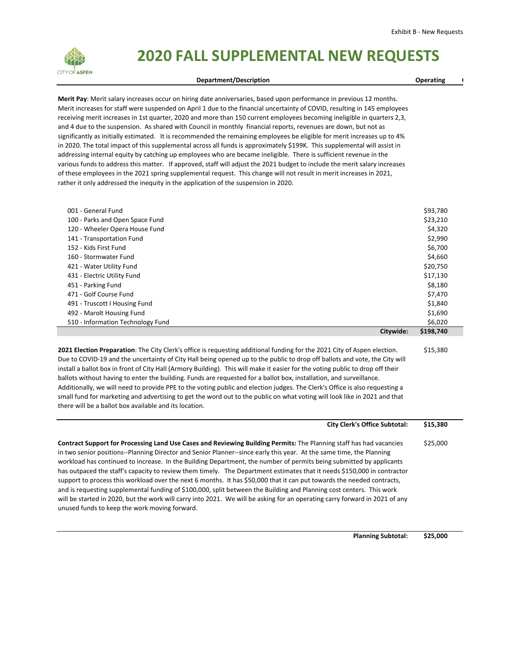

# **2020 FALL SUPPLEMENTAL NEW REQUESTS**

#### **Department/Description Contract Contract Contract Contract Contract Contract Contract Contract Contract Contract Contract Contract Contract Contract Contract Contract Contract Contract Contract Contract Contract Contract**

**Merit Pay**: Merit salary increases occur on hiring date anniversaries, based upon performance in previous 12 months. Merit increases for staff were suspended on April 1 due to the financial uncertainty of COVID, resulting in 145 employees receiving merit increases in 1st quarter, 2020 and more than 150 current employees becoming ineligible in quarters 2,3, and 4 due to the suspension. As shared with Council in monthly financial reports, revenues are down, but not as significantly as initially estimated. It is recommended the remaining employees be eligible for merit increases up to 4% in 2020. The total impact of this supplemental across all funds is approximately \$199K. This supplemental will assist in addressing internal equity by catching up employees who are became ineligible. There is sufficient revenue in the various funds to address this matter. If approved, staff will adjust the 2021 budget to include the merit salary increases of these employees in the 2021 spring supplemental request. This change will not result in merit increases in 2021, rather it only addressed the inequity in the application of the suspension in 2020.

| 001 - General Fund                |           | \$93,780  |
|-----------------------------------|-----------|-----------|
| 100 - Parks and Open Space Fund   |           | \$23,210  |
| 120 - Wheeler Opera House Fund    |           | \$4,320   |
| 141 - Transportation Fund         |           | \$2,990   |
| 152 - Kids First Fund             |           | \$6,700   |
| 160 - Stormwater Fund             |           | \$4,660   |
| 421 - Water Utility Fund          |           | \$20,750  |
| 431 - Electric Utility Fund       |           | \$17,130  |
| 451 - Parking Fund                |           | \$8,180   |
| 471 - Golf Course Fund            |           | \$7,470   |
| 491 - Truscott I Housing Fund     |           | \$1,840   |
| 492 - Marolt Housing Fund         |           | \$1,690   |
| 510 - Information Technology Fund |           | \$6,020   |
|                                   | Citywide: | \$198,740 |

**2021 Election Preparation**: The City Clerk's office is requesting additional funding for the 2021 City of Aspen election. Due to COVID‐19 and the uncertainty of City Hall being opened up to the public to drop off ballots and vote, the City will install a ballot box in front of City Hall (Armory Building). This will make it easier for the voting public to drop off their ballots without having to enter the building. Funds are requested for a ballot box, installation, and surveillance. Additionally, we will need to provide PPE to the voting public and election judges. The Clerk's Office is also requesting a small fund for marketing and advertising to get the word out to the public on what voting will look like in 2021 and that there will be a ballot box available and its location. \$15,380

### **City Clerk's Office Subtotal: \$15,380 Contract Support for Processing Land Use Cases and Reviewing Building Permits:** The Planning staff has had vacancies in two senior positions--Planning Director and Senior Planner--since early this year. At the same time, the Planning workload has continued to increase. In the Building Department, the number of permits being submitted by applicants has outpaced the staff's capacity to review them timely. The Department estimates that it needs \$150,000 in contractor support to process this workload over the next 6 months. It has \$50,000 that it can put towards the needed contracts, and is requesting supplemental funding of \$100,000, split between the Building and Planning cost centers. This work will be started in 2020, but the work will carry into 2021. We will be asking for an operating carry forward in 2021 of any unused funds to keep the work moving forward. \$25,000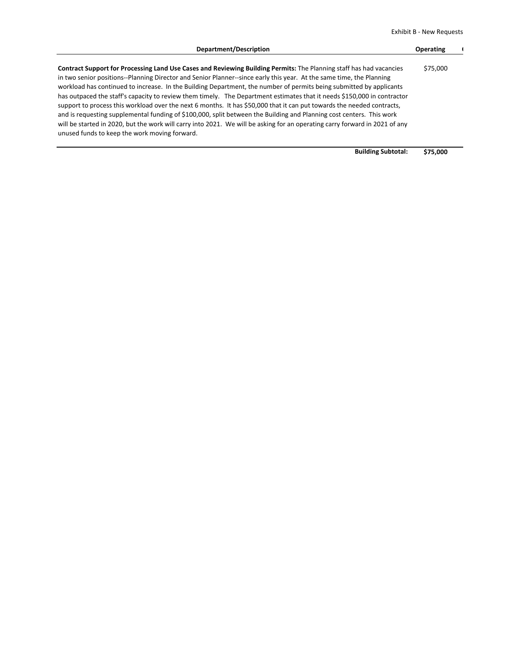Exhibit B ‐ New Requests

| Department/Description                                                                                                                                                                                                                                                                                                                                                                                                                                                                                                                                                                                                                                                                                                                                                                                                                                                                                                          | <b>Operating</b> |  |
|---------------------------------------------------------------------------------------------------------------------------------------------------------------------------------------------------------------------------------------------------------------------------------------------------------------------------------------------------------------------------------------------------------------------------------------------------------------------------------------------------------------------------------------------------------------------------------------------------------------------------------------------------------------------------------------------------------------------------------------------------------------------------------------------------------------------------------------------------------------------------------------------------------------------------------|------------------|--|
| Contract Support for Processing Land Use Cases and Reviewing Building Permits: The Planning staff has had vacancies<br>in two senior positions--Planning Director and Senior Planner--since early this year. At the same time, the Planning<br>workload has continued to increase. In the Building Department, the number of permits being submitted by applicants<br>has outpaced the staff's capacity to review them timely. The Department estimates that it needs \$150,000 in contractor<br>support to process this workload over the next 6 months. It has \$50,000 that it can put towards the needed contracts,<br>and is requesting supplemental funding of \$100,000, split between the Building and Planning cost centers. This work<br>will be started in 2020, but the work will carry into 2021. We will be asking for an operating carry forward in 2021 of any<br>unused funds to keep the work moving forward. | \$75,000         |  |
|                                                                                                                                                                                                                                                                                                                                                                                                                                                                                                                                                                                                                                                                                                                                                                                                                                                                                                                                 |                  |  |

**Building Subtotal: \$75,000**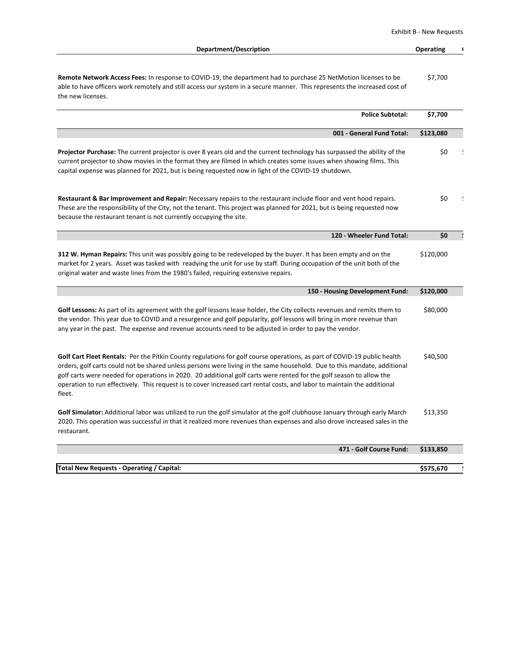Exhibit B ‐ New Requests

| Department/Description                                                                                                                                                                                                                                                                                                                                                                                                                                                                                             | <b>Operating</b> |  |
|--------------------------------------------------------------------------------------------------------------------------------------------------------------------------------------------------------------------------------------------------------------------------------------------------------------------------------------------------------------------------------------------------------------------------------------------------------------------------------------------------------------------|------------------|--|
| Remote Network Access Fees: In response to COVID-19, the department had to purchase 25 NetMotion licenses to be<br>able to have officers work remotely and still access our system in a secure manner. This represents the increased cost of<br>the new licenses.                                                                                                                                                                                                                                                  | \$7,700          |  |
| <b>Police Subtotal:</b>                                                                                                                                                                                                                                                                                                                                                                                                                                                                                            | \$7,700          |  |
| 001 - General Fund Total:                                                                                                                                                                                                                                                                                                                                                                                                                                                                                          | \$123,080        |  |
| <b>Projector Purchase:</b> The current projector is over 8 years old and the current technology has surpassed the ability of the<br>current projector to show movies in the format they are filmed in which creates some issues when showing films. This<br>capital expense was planned for 2021, but is being requested now in light of the COVID-19 shutdown.                                                                                                                                                    | \$0              |  |
| Restaurant & Bar Improvement and Repair: Necessary repairs to the restaurant include floor and vent hood repairs.<br>These are the responsibility of the City, not the tenant. This project was planned for 2021, but is being requested now<br>because the restaurant tenant is not currently occupying the site.                                                                                                                                                                                                 | \$0              |  |
| 120 - Wheeler Fund Total:                                                                                                                                                                                                                                                                                                                                                                                                                                                                                          | \$0              |  |
| <b>312 W. Hyman Repairs:</b> This unit was possibly going to be redeveloped by the buyer. It has been empty and on the<br>market for 2 years. Asset was tasked with readying the unit for use by staff. During occupation of the unit both of the<br>original water and waste lines from the 1980's failed, requiring extensive repairs.                                                                                                                                                                           | \$120,000        |  |
| 150 - Housing Development Fund:                                                                                                                                                                                                                                                                                                                                                                                                                                                                                    | \$120,000        |  |
| Golf Lessons: As part of its agreement with the golf lessons lease holder, the City collects revenues and remits them to<br>the vendor. This year due to COVID and a resurgence and golf popularity, golf lessons will bring in more revenue than<br>any year in the past. The expense and revenue accounts need to be adjusted in order to pay the vendor.                                                                                                                                                        | \$80,000         |  |
| Golf Cart Fleet Rentals: Per the Pitkin County regulations for golf course operations, as part of COVID-19 public health<br>orders, golf carts could not be shared unless persons were living in the same household. Due to this mandate, additional<br>golf carts were needed for operations in 2020. 20 additional golf carts were rented for the golf season to allow the<br>operation to run effectively. This request is to cover increased cart rental costs, and labor to maintain the additional<br>fleet. | \$40,500         |  |
| Golf Simulator: Additional labor was utilized to run the golf simulator at the golf clubhouse January through early March<br>2020. This operation was successful in that it realized more revenues than expenses and also drove increased sales in the<br>restaurant.                                                                                                                                                                                                                                              | \$13,350         |  |
| 471 - Golf Course Fund:                                                                                                                                                                                                                                                                                                                                                                                                                                                                                            | \$133,850        |  |
| <b>Total New Requests - Operating / Capital:</b>                                                                                                                                                                                                                                                                                                                                                                                                                                                                   | \$575,670        |  |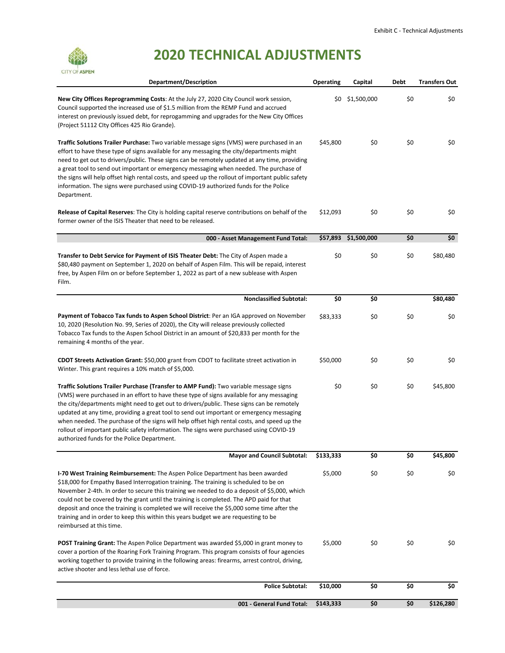

# **2020 TECHNICAL ADJUSTMENTS**

| <b>Department/Description</b>                                                                                                                                                                                                                                                                                                                                                                                                                                                                                                                                                                                        | <b>Operating</b> | Capital              | Debt | <b>Transfers Out</b> |
|----------------------------------------------------------------------------------------------------------------------------------------------------------------------------------------------------------------------------------------------------------------------------------------------------------------------------------------------------------------------------------------------------------------------------------------------------------------------------------------------------------------------------------------------------------------------------------------------------------------------|------------------|----------------------|------|----------------------|
| New City Offices Reprogramming Costs: At the July 27, 2020 City Council work session,<br>Council supported the increased use of \$1.5 million from the REMP Fund and accrued<br>interest on previously issued debt, for reprogamming and upgrades for the New City Offices<br>(Project 51112 City Offices 425 Rio Grande).                                                                                                                                                                                                                                                                                           |                  | \$0 \$1,500,000      | \$0  | \$0                  |
| Traffic Solutions Trailer Purchase: Two variable message signs (VMS) were purchased in an<br>effort to have these type of signs available for any messaging the city/departments might<br>need to get out to drivers/public. These signs can be remotely updated at any time, providing<br>a great tool to send out important or emergency messaging when needed. The purchase of<br>the signs will help offset high rental costs, and speed up the rollout of important public safety<br>information. The signs were purchased using COVID-19 authorized funds for the Police<br>Department.                        | \$45,800         | \$0                  | \$0  | \$0                  |
| <b>Release of Capital Reserves:</b> The City is holding capital reserve contributions on behalf of the<br>former owner of the ISIS Theater that need to be released.                                                                                                                                                                                                                                                                                                                                                                                                                                                 | \$12,093         | \$0                  | \$0  | \$0                  |
| 000 - Asset Management Fund Total:                                                                                                                                                                                                                                                                                                                                                                                                                                                                                                                                                                                   |                  | \$57,893 \$1,500,000 | \$0  | \$0                  |
| Transfer to Debt Service for Payment of ISIS Theater Debt: The City of Aspen made a<br>\$80,480 payment on September 1, 2020 on behalf of Aspen Film. This will be repaid, interest<br>free, by Aspen Film on or before September 1, 2022 as part of a new sublease with Aspen<br>Film.                                                                                                                                                                                                                                                                                                                              | \$0              | \$0                  | \$0  | \$80,480             |
| <b>Nonclassified Subtotal:</b>                                                                                                                                                                                                                                                                                                                                                                                                                                                                                                                                                                                       | \$0              | \$0                  |      | \$80,480             |
| Payment of Tobacco Tax funds to Aspen School District: Per an IGA approved on November<br>10, 2020 (Resolution No. 99, Series of 2020), the City will release previously collected<br>Tobacco Tax funds to the Aspen School District in an amount of \$20,833 per month for the<br>remaining 4 months of the year.                                                                                                                                                                                                                                                                                                   | \$83,333         | \$0                  | \$0  | \$0                  |
| <b>CDOT Streets Activation Grant:</b> \$50,000 grant from CDOT to facilitate street activation in<br>Winter. This grant requires a 10% match of \$5,000.                                                                                                                                                                                                                                                                                                                                                                                                                                                             | \$50,000         | \$0                  | \$0  | \$0                  |
| Traffic Solutions Trailer Purchase (Transfer to AMP Fund): Two variable message signs<br>(VMS) were purchased in an effort to have these type of signs available for any messaging<br>the city/departments might need to get out to drivers/public. These signs can be remotely<br>updated at any time, providing a great tool to send out important or emergency messaging<br>when needed. The purchase of the signs will help offset high rental costs, and speed up the<br>rollout of important public safety information. The signs were purchased using COVID-19<br>authorized funds for the Police Department. | \$0              | \$0                  | \$0  | \$45,800             |
| <b>Mayor and Council Subtotal:</b>                                                                                                                                                                                                                                                                                                                                                                                                                                                                                                                                                                                   | \$133,333        | \$0                  | \$0  | \$45,800             |
| <b>I-70 West Training Reimbursement:</b> The Aspen Police Department has been awarded<br>\$18,000 for Empathy Based Interrogation training. The training is scheduled to be on<br>November 2-4th. In order to secure this training we needed to do a deposit of \$5,000, which<br>could not be covered by the grant until the training is completed. The APD paid for that<br>deposit and once the training is completed we will receive the \$5,000 some time after the<br>training and in order to keep this within this years budget we are requesting to be<br>reimbursed at this time.                          | \$5,000          | \$0                  | \$0  | \$0                  |
| <b>POST Training Grant:</b> The Aspen Police Department was awarded \$5,000 in grant money to<br>cover a portion of the Roaring Fork Training Program. This program consists of four agencies<br>working together to provide training in the following areas: firearms, arrest control, driving,<br>active shooter and less lethal use of force.                                                                                                                                                                                                                                                                     | \$5,000          | \$0                  | \$0  | \$0                  |
| <b>Police Subtotal:</b>                                                                                                                                                                                                                                                                                                                                                                                                                                                                                                                                                                                              | \$10,000         | \$0                  | \$0  | \$0                  |
| 001 - General Fund Total:                                                                                                                                                                                                                                                                                                                                                                                                                                                                                                                                                                                            | \$143,333        | \$0                  | \$0  | \$126,280            |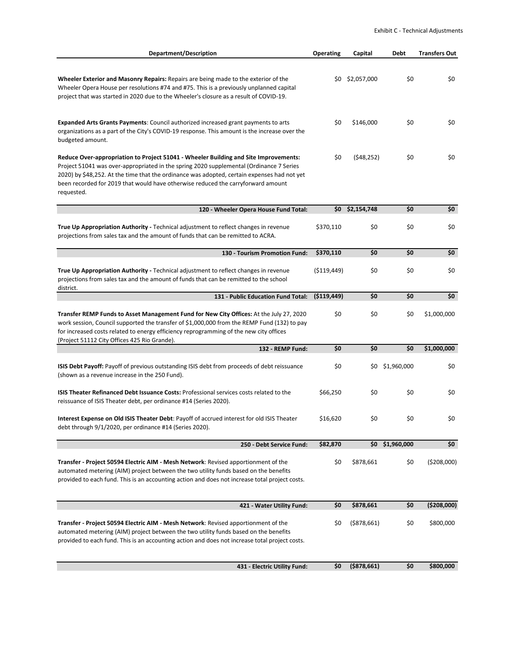| <b>Department/Description</b>                                                                                                                                                                                                                                                                                                                                                    | <b>Operating</b> | Capital           | <b>Debt</b> | <b>Transfers Out</b> |
|----------------------------------------------------------------------------------------------------------------------------------------------------------------------------------------------------------------------------------------------------------------------------------------------------------------------------------------------------------------------------------|------------------|-------------------|-------------|----------------------|
| <b>Wheeler Exterior and Masonry Repairs:</b> Repairs are being made to the exterior of the<br>Wheeler Opera House per resolutions #74 and #75. This is a previously unplanned capital<br>project that was started in 2020 due to the Wheeler's closure as a result of COVID-19.                                                                                                  |                  | \$0 \$2,057,000   | \$0         | \$0                  |
| <b>Expanded Arts Grants Payments: Council authorized increased grant payments to arts</b><br>organizations as a part of the City's COVID-19 response. This amount is the increase over the<br>budgeted amount.                                                                                                                                                                   | \$0              | \$146,000         | \$0         | \$0                  |
| Reduce Over-appropriation to Project 51041 - Wheeler Building and Site Improvements:<br>Project 51041 was over-appropriated in the spring 2020 supplemental (Ordinance 7 Series<br>2020) by \$48,252. At the time that the ordinance was adopted, certain expenses had not yet<br>been recorded for 2019 that would have otherwise reduced the carryforward amount<br>requested. | \$0              | (548, 252)        | \$0         | \$0                  |
| 120 - Wheeler Opera House Fund Total:                                                                                                                                                                                                                                                                                                                                            |                  | $$0$ $$2,154,748$ | \$0         | \$0                  |
| True Up Appropriation Authority - Technical adjustment to reflect changes in revenue<br>projections from sales tax and the amount of funds that can be remitted to ACRA.                                                                                                                                                                                                         | \$370,110        | \$0               | \$0         | \$0                  |
| 130 - Tourism Promotion Fund:                                                                                                                                                                                                                                                                                                                                                    | \$370,110        | \$0               | \$0         | \$0                  |
| True Up Appropriation Authority - Technical adjustment to reflect changes in revenue<br>projections from sales tax and the amount of funds that can be remitted to the school<br>district.                                                                                                                                                                                       | ( \$119, 449)    | \$0               | \$0         | \$0                  |
| 131 - Public Education Fund Total:                                                                                                                                                                                                                                                                                                                                               | ( \$119,449)     | \$0               | \$0         | \$0                  |
| Transfer REMP Funds to Asset Management Fund for New City Offices: At the July 27, 2020<br>work session, Council supported the transfer of \$1,000,000 from the REMP Fund (132) to pay<br>for increased costs related to energy efficiency reprogramming of the new city offices<br>(Project 51112 City Offices 425 Rio Grande).                                                 | \$0              | \$0               | \$0         | \$1,000,000          |
| 132 - REMP Fund:                                                                                                                                                                                                                                                                                                                                                                 | \$0              | \$0               | \$0         | \$1,000,000          |
| ISIS Debt Payoff: Payoff of previous outstanding ISIS debt from proceeds of debt reissuance<br>(shown as a revenue increase in the 250 Fund).                                                                                                                                                                                                                                    | \$0              | \$0               | \$1,960,000 | \$0                  |
| <b>ISIS Theater Refinanced Debt Issuance Costs: Professional services costs related to the</b><br>reissuance of ISIS Theater debt, per ordinance #14 (Series 2020).                                                                                                                                                                                                              | \$66.250         | \$0               | \$0         | \$0                  |
| Interest Expense on Old ISIS Theater Debt: Payoff of accrued interest for old ISIS Theater<br>debt through 9/1/2020, per ordinance #14 (Series 2020).                                                                                                                                                                                                                            | \$16,620         | \$0               | \$0         | \$0                  |
| 250 - Debt Service Fund:                                                                                                                                                                                                                                                                                                                                                         | \$82,870         | \$0               | \$1,960,000 | \$0                  |
| Transfer - Project 50594 Electric AIM - Mesh Network: Revised apportionment of the<br>automated metering (AIM) project between the two utility funds based on the benefits<br>provided to each fund. This is an accounting action and does not increase total project costs.                                                                                                     | \$0              | \$878,661         | \$0         | (5208,000)           |
| 421 - Water Utility Fund:                                                                                                                                                                                                                                                                                                                                                        | \$0              | \$878,661         | \$0         | ( \$208,000)         |
| Transfer - Project 50594 Electric AIM - Mesh Network: Revised apportionment of the<br>automated metering (AIM) project between the two utility funds based on the benefits<br>provided to each fund. This is an accounting action and does not increase total project costs.                                                                                                     | \$0              | $($ \$878,661)    | \$0         | \$800,000            |
| 431 - Electric Utility Fund:                                                                                                                                                                                                                                                                                                                                                     | \$0              | $($ \$878,661)    | \$0         | \$800,000            |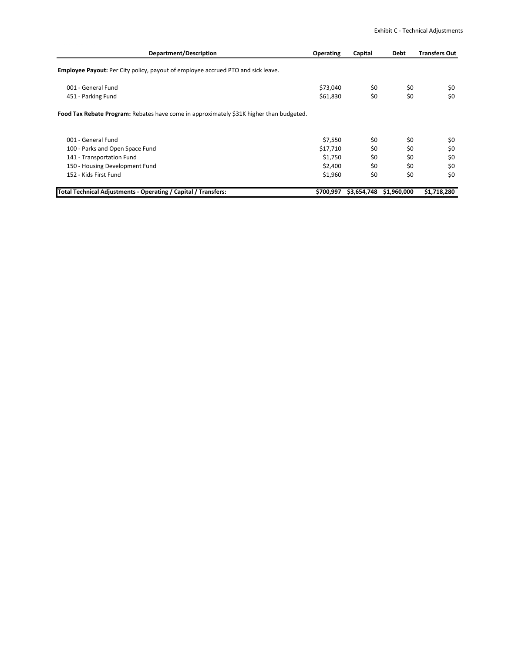| Department/Description                                                                  | <b>Operating</b> | Capital     | <b>Debt</b> | <b>Transfers Out</b> |
|-----------------------------------------------------------------------------------------|------------------|-------------|-------------|----------------------|
| <b>Employee Payout:</b> Per City policy, payout of employee accrued PTO and sick leave. |                  |             |             |                      |
| 001 - General Fund                                                                      | \$73,040         | \$0         | \$0         | \$0                  |
| 451 - Parking Fund                                                                      | \$61,830         | \$0         | \$0         | \$0                  |
| Food Tax Rebate Program: Rebates have come in approximately \$31K higher than budgeted. |                  |             |             |                      |
|                                                                                         |                  |             |             |                      |
| 001 - General Fund                                                                      | \$7,550          | \$0         | \$0         | \$0                  |
| 100 - Parks and Open Space Fund                                                         | \$17,710         | \$0         | \$0         | \$0                  |
| 141 - Transportation Fund                                                               | \$1,750          | \$0         | \$0         | \$0                  |
| 150 - Housing Development Fund                                                          | \$2,400          | \$0         | \$0         | \$0                  |
| 152 - Kids First Fund                                                                   | \$1,960          | \$0         | \$0         | \$0                  |
| Total Technical Adjustments - Operating / Capital / Transfers:                          | \$700,997        | \$3,654,748 | \$1,960,000 | \$1,718,280          |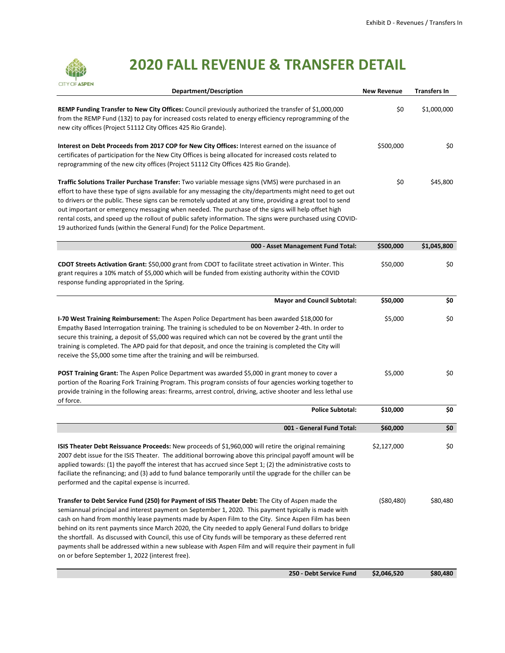

# **2020 FALL REVENUE & TRANSFER DETAIL**

| <b>Department/Description</b>                                                                                                                                                                                                                                                                                                                                                                                                                                                                                                                                                                                                                                                                      | <b>New Revenue</b> | <b>Transfers In</b> |
|----------------------------------------------------------------------------------------------------------------------------------------------------------------------------------------------------------------------------------------------------------------------------------------------------------------------------------------------------------------------------------------------------------------------------------------------------------------------------------------------------------------------------------------------------------------------------------------------------------------------------------------------------------------------------------------------------|--------------------|---------------------|
| REMP Funding Transfer to New City Offices: Council previously authorized the transfer of \$1,000,000<br>from the REMP Fund (132) to pay for increased costs related to energy efficiency reprogramming of the<br>new city offices (Project 51112 City Offices 425 Rio Grande).                                                                                                                                                                                                                                                                                                                                                                                                                     | \$0                | \$1,000,000         |
| Interest on Debt Proceeds from 2017 COP for New City Offices: Interest earned on the issuance of<br>certificates of participation for the New City Offices is being allocated for increased costs related to<br>reprogramming of the new city offices (Project 51112 City Offices 425 Rio Grande).                                                                                                                                                                                                                                                                                                                                                                                                 | \$500,000          | \$0                 |
| Traffic Solutions Trailer Purchase Transfer: Two variable message signs (VMS) were purchased in an<br>effort to have these type of signs available for any messaging the city/departments might need to get out<br>to drivers or the public. These signs can be remotely updated at any time, providing a great tool to send<br>out important or emergency messaging when needed. The purchase of the signs will help offset high<br>rental costs, and speed up the rollout of public safety information. The signs were purchased using COVID-<br>19 authorized funds (within the General Fund) for the Police Department.                                                                        | \$0                | \$45,800            |
| 000 - Asset Management Fund Total:                                                                                                                                                                                                                                                                                                                                                                                                                                                                                                                                                                                                                                                                 | \$500,000          | \$1,045,800         |
| CDOT Streets Activation Grant: \$50,000 grant from CDOT to facilitate street activation in Winter. This<br>grant requires a 10% match of \$5,000 which will be funded from existing authority within the COVID<br>response funding appropriated in the Spring.                                                                                                                                                                                                                                                                                                                                                                                                                                     | \$50,000           | \$0                 |
| <b>Mayor and Council Subtotal:</b>                                                                                                                                                                                                                                                                                                                                                                                                                                                                                                                                                                                                                                                                 | \$50,000           | \$0                 |
| I-70 West Training Reimbursement: The Aspen Police Department has been awarded \$18,000 for<br>Empathy Based Interrogation training. The training is scheduled to be on November 2-4th. In order to<br>secure this training, a deposit of \$5,000 was required which can not be covered by the grant until the<br>training is completed. The APD paid for that deposit, and once the training is completed the City will<br>receive the \$5,000 some time after the training and will be reimbursed.                                                                                                                                                                                               | \$5,000            | \$0                 |
| POST Training Grant: The Aspen Police Department was awarded \$5,000 in grant money to cover a<br>portion of the Roaring Fork Training Program. This program consists of four agencies working together to<br>provide training in the following areas: firearms, arrest control, driving, active shooter and less lethal use<br>of force.                                                                                                                                                                                                                                                                                                                                                          | \$5,000            | \$0                 |
| <b>Police Subtotal:</b>                                                                                                                                                                                                                                                                                                                                                                                                                                                                                                                                                                                                                                                                            | \$10,000           | \$0                 |
| 001 - General Fund Total:                                                                                                                                                                                                                                                                                                                                                                                                                                                                                                                                                                                                                                                                          | \$60,000           | \$0                 |
| ISIS Theater Debt Reissuance Proceeds: New proceeds of \$1,960,000 will retire the original remaining<br>2007 debt issue for the ISIS Theater. The additional borrowing above this principal payoff amount will be<br>applied towards: (1) the payoff the interest that has accrued since Sept 1; (2) the administrative costs to<br>faciliate the refinancing; and (3) add to fund balance temporarily until the upgrade for the chiller can be<br>performed and the capital expense is incurred.                                                                                                                                                                                                 | \$2,127,000        | \$0                 |
| Transfer to Debt Service Fund (250) for Payment of ISIS Theater Debt: The City of Aspen made the<br>semiannual principal and interest payment on September 1, 2020. This payment typically is made with<br>cash on hand from monthly lease payments made by Aspen Film to the City. Since Aspen Film has been<br>behind on its rent payments since March 2020, the City needed to apply General Fund dollars to bridge<br>the shortfall. As discussed with Council, this use of City funds will be temporary as these deferred rent<br>payments shall be addressed within a new sublease with Aspen Film and will require their payment in full<br>on or before September 1, 2022 (interest free). | ( \$80,480)        | \$80,480            |
| 250 - Debt Service Fund                                                                                                                                                                                                                                                                                                                                                                                                                                                                                                                                                                                                                                                                            | \$2,046,520        | \$80,480            |